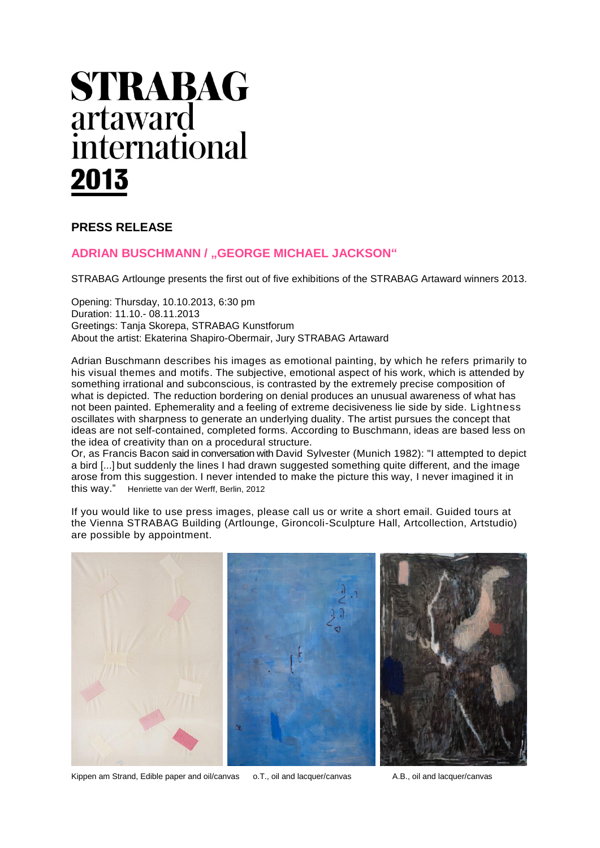# **STRABAG** artaward international 2013

## **PRESS RELEASE**

### **ADRIAN BUSCHMANN / "GEORGE MICHAEL JACKSON"**

STRABAG Artlounge presents the first out of five exhibitions of the STRABAG Artaward winners 2013.

Opening: Thursday, [10.10.2013,](http://www.strabag-kunstforum.at/artist.php?id=69&lang=de) 6:30 pm Duration: 11.10.- [08.11.2013](http://www.strabag-kunstforum.at/artist.php?id=69&lang=de) Greetings: Tanja Skorepa, STRABAG Kunstforum About the artist: Ekaterina Shapiro-Obermair, Jury STRABAG Artaward

Adrian Buschmann describes his images as emotional painting, by which he refers primarily to his visual themes and motifs. The subjective, emotional aspect of his work, which is attended by something irrational and subconscious, is contrasted by the extremely precise composition of what is depicted. The reduction bordering on denial produces an unusual awareness of what has not been painted. Ephemerality and a feeling of extreme decisiveness lie side by side. Lightness oscillates with sharpness to generate an underlying duality. The artist pursues the concept that ideas are not self-contained, completed forms. According to Buschmann, ideas are based less on the idea of creativity than on a procedural structure.

Or, as Francis Bacon said in conversation with David Sylvester (Munich 1982): "I attempted to depict a bird [...] but suddenly the lines I had drawn suggested something quite different, and the image arose from this suggestion. I never intended to make the picture this way, I never imagined it in this way." Henriette van der Werff, Berlin, 2012

If you would like to use press images, please call us or write a short email. Guided tours at the Vienna STRABAG Building (Artlounge, Gironcoli-Sculpture Hall, Artcollection, Artstudio) are possible by appointment.



Kippen am Strand, Edible paper and oil/canvas o.T., oil and lacquer/canvas A.B., oil and lacquer/canvas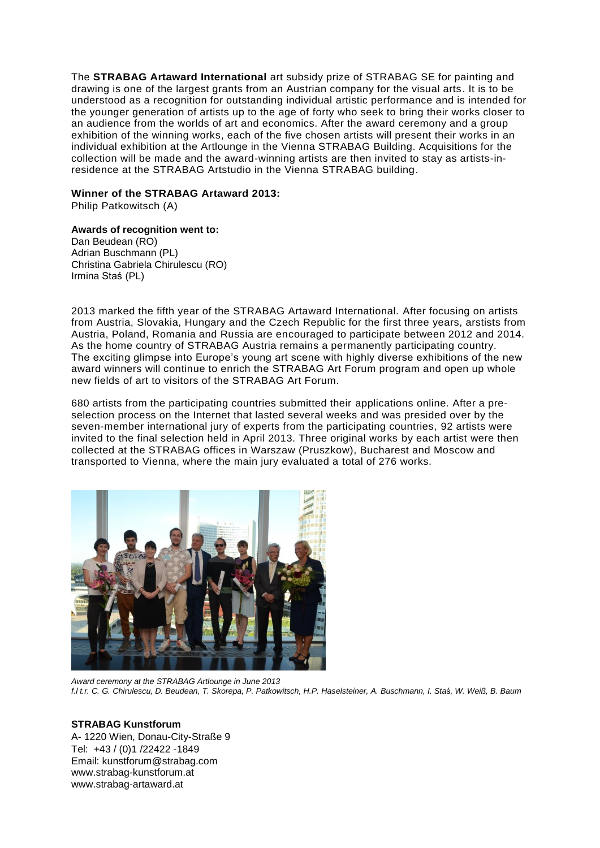The **STRABAG Artaward International** art subsidy prize of STRABAG SE for painting and drawing is one of the largest grants from an Austrian company for the visual arts. It is to be understood as a recognition for outstanding individual artistic performance and is intended for the younger generation of artists up to the age of forty who seek to bring their works closer to an audience from the worlds of art and economics. After the award ceremony and a group exhibition of the winning works, each of the five chosen artists will present their works in an individual exhibition at the Artlounge in the Vienna STRABAG Building. Acquisitions for the collection will be made and the award-winning artists are then invited to stay as artists-inresidence at the STRABAG Artstudio in the Vienna STRABAG building.

#### **Winner of the STRABAG Artaward 2013:**

Philip Patkowitsch (A)

#### **Awards of recognition went to:**

Dan Beudean (RO) Adrian Buschmann (PL) Christina Gabriela Chirulescu (RO) Irmina Staś (PL)

2013 marked the fifth year of the STRABAG Artaward International. After focusing on artists from Austria, Slovakia, Hungary and the Czech Republic for the first three years, arstists from Austria, Poland, Romania and Russia are encouraged to participate between 2012 and 2014. As the home country of STRABAG Austria remains a permanently participating country. The exciting glimpse into Europe's young art scene with highly diverse exhibitions of the new award winners will continue to enrich the STRABAG Art Forum program and open up whole new fields of art to visitors of the STRABAG Art Forum.

680 artists from the participating countries submitted their applications online. After a preselection process on the Internet that lasted several weeks and was presided over by the seven-member international jury of experts from the participating countries, 92 artists were invited to the final selection held in April 2013. Three original works by each artist were then collected at the STRABAG offices in Warszaw (Pruszkow), Bucharest and Moscow and transported to Vienna, where the main jury evaluated a total of 276 works.



*Award ceremony at the STRABAG Artlounge in June 2013 f.l t.r. C. G. Chirulescu, D. Beudean, T. Skorepa, P. Patkowitsch, H.P. Haselsteiner, A. Buschmann, I. Sta*ś*, W. Weiß, B. Baum*

#### **STRABAG Kunstforum**

A- 1220 Wien, Donau-City-Straße 9 Tel: +43 / (0)1 /22422 -1849 Email: kunstforum@strabag.com [www.strabag-kunstforum.at](http://www.strabag-kunstforum.at/) [www.strabag-artaward.at](http://www.strabag-artaward.at/)